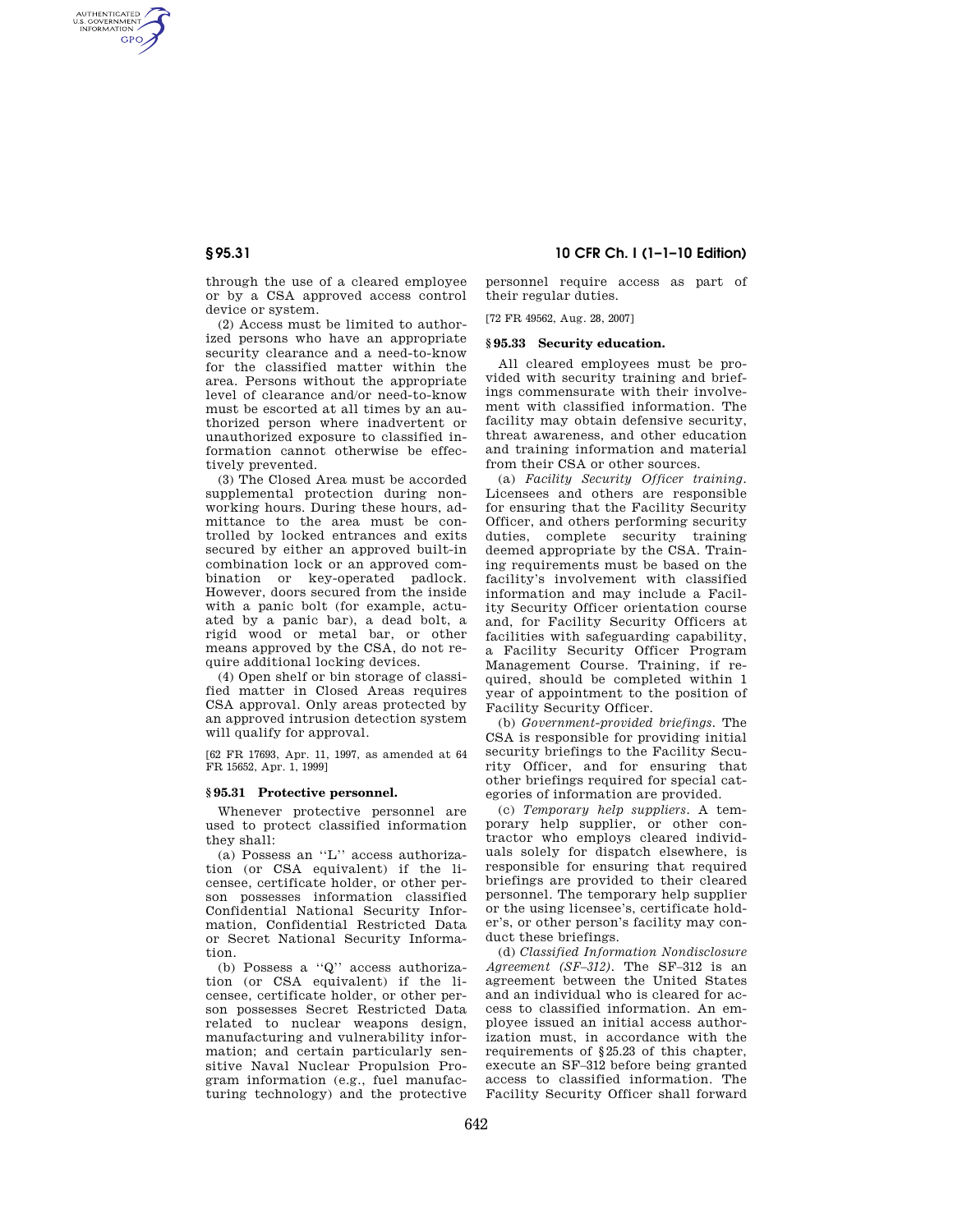AUTHENTICATED<br>U.S. GOVERNMENT<br>INFORMATION **GPO** 

> through the use of a cleared employee or by a CSA approved access control device or system.

(2) Access must be limited to authorized persons who have an appropriate security clearance and a need-to-know for the classified matter within the area. Persons without the appropriate level of clearance and/or need-to-know must be escorted at all times by an authorized person where inadvertent or unauthorized exposure to classified information cannot otherwise be effectively prevented.

(3) The Closed Area must be accorded supplemental protection during nonworking hours. During these hours, admittance to the area must be controlled by locked entrances and exits secured by either an approved built-in combination lock or an approved combination or key-operated padlock. However, doors secured from the inside with a panic bolt (for example, actuated by a panic bar), a dead bolt, a rigid wood or metal bar, or other means approved by the CSA, do not require additional locking devices.

(4) Open shelf or bin storage of classified matter in Closed Areas requires CSA approval. Only areas protected by an approved intrusion detection system will qualify for approval.

[62 FR 17693, Apr. 11, 1997, as amended at 64 FR 15652, Apr. 1, 1999]

# **§ 95.31 Protective personnel.**

Whenever protective personnel are used to protect classified information they shall:

(a) Possess an ''L'' access authorization (or CSA equivalent) if the licensee, certificate holder, or other person possesses information classified Confidential National Security Information, Confidential Restricted Data or Secret National Security Information.

(b) Possess a ''Q'' access authorization (or CSA equivalent) if the licensee, certificate holder, or other person possesses Secret Restricted Data related to nuclear weapons design, manufacturing and vulnerability information; and certain particularly sensitive Naval Nuclear Propulsion Program information (e.g., fuel manufacturing technology) and the protective

# **§ 95.31 10 CFR Ch. I (1–1–10 Edition)**

personnel require access as part of their regular duties.

[72 FR 49562, Aug. 28, 2007]

#### **§ 95.33 Security education.**

All cleared employees must be provided with security training and briefings commensurate with their involvement with classified information. The facility may obtain defensive security, threat awareness, and other education and training information and material from their CSA or other sources.

(a) *Facility Security Officer training.*  Licensees and others are responsible for ensuring that the Facility Security Officer, and others performing security duties, complete security training deemed appropriate by the CSA. Training requirements must be based on the facility's involvement with classified information and may include a Facility Security Officer orientation course and, for Facility Security Officers at facilities with safeguarding capability, a Facility Security Officer Program Management Course. Training, if required, should be completed within 1 year of appointment to the position of Facility Security Officer.

(b) *Government-provided briefings.* The CSA is responsible for providing initial security briefings to the Facility Security Officer, and for ensuring that other briefings required for special categories of information are provided.

(c) *Temporary help suppliers.* A temporary help supplier, or other contractor who employs cleared individuals solely for dispatch elsewhere, is responsible for ensuring that required briefings are provided to their cleared personnel. The temporary help supplier or the using licensee's, certificate holder's, or other person's facility may conduct these briefings.

(d) *Classified Information Nondisclosure Agreement (SF–312).* The SF–312 is an agreement between the United States and an individual who is cleared for access to classified information. An employee issued an initial access authorization must, in accordance with the requirements of §25.23 of this chapter, execute an SF–312 before being granted access to classified information. The Facility Security Officer shall forward